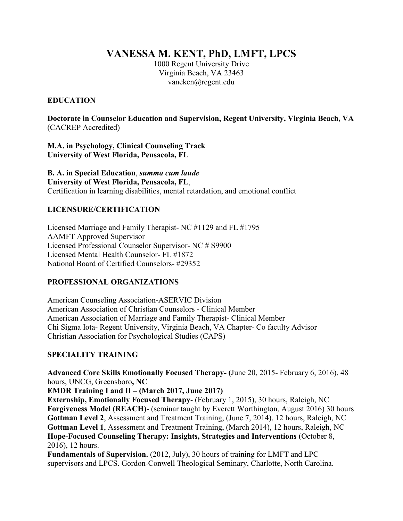**VANESSA M. KENT, PhD, LMFT, LPCS** 

1000 Regent University Drive Virginia Beach, VA 23463 [vaneken@regent.edu](mailto:vaneken@regent.edu) 

### **EDUCATION**

**Doctorate in Counselor Education and Supervision, Regent University, Virginia Beach, VA**  (CACREP Accredited)

**M.A. in Psychology, Clinical Counseling Track University of West Florida, Pensacola, FL** 

 Certification in learning disabilities, mental retardation, and emotional conflict **B. A. in Special Education**, *summa cum laude*  **University of West Florida, Pensacola, FL**,

#### **LICENSURE/CERTIFICATION**

Licensed Marriage and Family Therapist- NC #1129 and FL #1795 AAMFT Approved Supervisor Licensed Professional Counselor Supervisor- NC # S9900 Licensed Mental Health Counselor- FL #1872 National Board of Certified Counselors- #29352

## **PROFESSIONAL ORGANIZATIONS**

American Counseling Association-ASERVIC Division American Association of Christian Counselors - Clinical Member American Association of Marriage and Family Therapist- Clinical Member Chi Sigma Iota- Regent University, Virginia Beach, VA Chapter- Co faculty Advisor Christian Association for Psychological Studies (CAPS)

## **SPECIALITY TRAINING**

Advanced Core Skills Emotionally Focused Therapy- (June 20, 2015- February 6, 2016), 48 hours, UNCG, Greensboro**, NC** 

**EMDR Training I and II – (March 2017, June 2017)** 

 2016), 12 hours. **Externship, Emotionally Focused Therapy**- (February 1, 2015), 30 hours, Raleigh, NC **Forgiveness Model (REACH)**- (seminar taught by Everett Worthington, August 2016) 30 hours **Gottman Level 2**, Assessment and Treatment Training, (June 7, 2014), 12 hours, Raleigh, NC **Gottman Level 1**, Assessment and Treatment Training, (March 2014), 12 hours, Raleigh, NC **Hope-Focused Counseling Therapy: Insights, Strategies and Interventions** (October 8,

**Fundamentals of Supervision.** (2012, July), 30 hours of training for LMFT and LPC supervisors and LPCS. Gordon-Conwell Theological Seminary, Charlotte, North Carolina.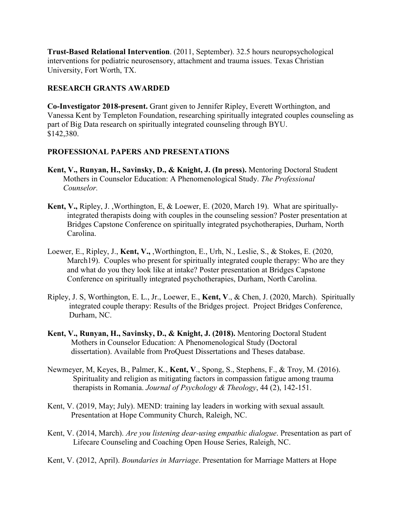interventions for pediatric neurosensory, attachment and trauma issues. Texas Christian **Trust-Based Relational Intervention**. (2011, September). 32.5 hours neuropsychological University, Fort Worth, TX.

### **RESEARCH GRANTS AWARDED**

**Co-Investigator 2018-present.** Grant given to Jennifer Ripley, Everett Worthington, and Vanessa Kent by Templeton Foundation, researching spiritually integrated couples counseling as part of Big Data research on spiritually integrated counseling through BYU. \$142,380.

### **PROFESSIONAL PAPERS AND PRESENTATIONS**

- **Kent, V., Runyan, H., Savinsky, D., & Knight, J. (In press).** Mentoring Doctoral Student Mothers in Counselor Education: A Phenomenological Study. *The Professional Counselor.*
- **Kent, V.,** Ripley, J. ,Worthington, E, & Loewer, E. (2020, March 19). What are spirituallyintegrated therapists doing with couples in the counseling session? Poster presentation at Bridges Capstone Conference on spiritually integrated psychotherapies, Durham, North Carolina.
- Loewer, E., Ripley, J., **Kent, V.,** ,Worthington, E., Urh, N., Leslie, S., & Stokes, E. (2020, March19). Couples who present for spiritually integrated couple therapy: Who are they and what do you they look like at intake? Poster presentation at Bridges Capstone Conference on spiritually integrated psychotherapies, Durham, North Carolina.
- Ripley, J. S, Worthington, E. L., Jr., Loewer, E., **Kent, V**., & Chen, J. (2020, March). Spiritually integrated couple therapy: Results of the Bridges project. Project Bridges Conference, Durham, NC.
- Mothers in Counselor Education: A Phenomenological Study (Doctoral **Kent, V., Runyan, H., Savinsky, D., & Knight, J. (2018).** Mentoring Doctoral Student dissertation). Available from ProQuest Dissertations and Theses database.
- Newmeyer, M, Keyes, B., Palmer, K., **Kent, V**., Spong, S., Stephens, F., & Troy, M. (2016). Spirituality and religion as mitigating factors in compassion fatigue among trauma therapists in Romania. *Journal of Psychology & Theology*, 44 (2), 142-151.
- Kent, V. (2019, May; July). MEND: training lay leaders in working with sexual assault*.*  Presentation at Hope Community Church, Raleigh, NC.
- Kent, V. (2014, March). *Are you listening dear-using empathic dialogue*. Presentation as part of Lifecare Counseling and Coaching Open House Series, Raleigh, NC.
- Kent, V. (2012, April). *Boundaries in Marriage*. Presentation for Marriage Matters at Hope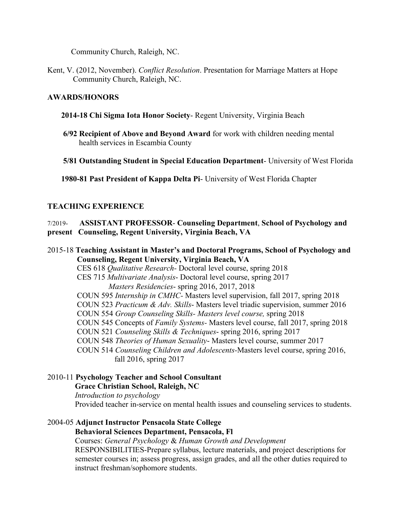Community Church, Raleigh, NC.

Kent, V. (2012, November). *Conflict Resolution*. Presentation for Marriage Matters at Hope Community Church, Raleigh, NC.

#### **AWARDS/HONORS**

- **2014-18 Chi Sigma Iota Honor Society** Regent University, Virginia Beach
- **6/92 Recipient of Above and Beyond Award** for work with children needing mental health services in Escambia County
- **5/81 Outstanding Student in Special Education Department** University of West Florida

**1980-81 Past President of Kappa Delta Pi**- University of West Florida Chapter

#### **TEACHING EXPERIENCE**

#### $7/2019-$  **present Counseling, Regent University, Virginia Beach, VA**  7/2019- **ASSISTANT PROFESSOR**- **Counseling Department**, **School of Psychology and**

 2015-18 **Teaching Assistant in Master's and Doctoral Programs, School of Psychology and Counseling, Regent University, Virginia Beach, VA**  CES 618 *Qualitative Research-* Doctoral level course, spring 2018 CES 715 *Multivariate Analysis*- Doctoral level course, spring 2017 *Masters Residencies*- spring 2016, 2017, 2018 COUN 595 *Internship in CMHC-* Masters level supervision, fall 2017, spring 2018 COUN 523 *Practicum & Adv. Skills*- Masters level triadic supervision, summer 2016 COUN 554 *Group Counseling Skills- Masters level course,* spring 2018 COUN 545 Concepts of *Family Systems-* Masters level course, fall 2017, spring 2018 COUN 521 *Counseling Skills & Techniques*- spring 2016, spring 2017 COUN 548 *Theories of Human Sexuality*- Masters level course, summer 2017 COUN 514 *Counseling Children and Adolescents-*Masters level course, spring 2016, fall 2016, spring 2017

2010-11 **Psychology Teacher and School Consultant Grace Christian School, Raleigh, NC** 

*Introduction to psychology*  Provided teacher in-service on mental health issues and counseling services to students.

# 2004-05 **Adjunct Instructor Pensacola State College**

**Behavioral Sciences Department, Pensacola, Fl** 

Courses: *General Psychology* & *Human Growth and Development* 

RESPONSIBILITIES-Prepare syllabus, lecture materials, and project descriptions for semester courses in; assess progress, assign grades, and all the other duties required to instruct freshman/sophomore students.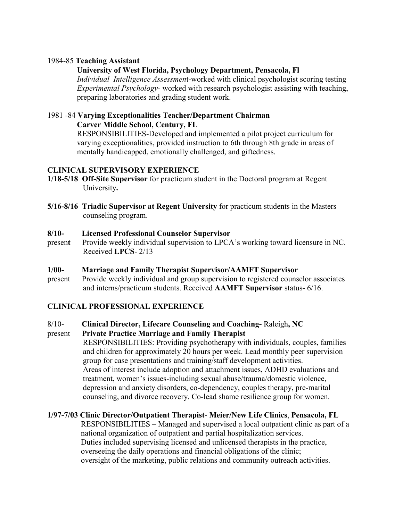#### 1984-85 **Teaching Assistant**

#### **University of West Florida, Psychology Department, Pensacola, Fl**

*Individual Intelligence Assessmen*t-worked with clinical psychologist scoring testing *Experimental Psychology*- worked with research psychologist assisting with teaching, preparing laboratories and grading student work.

#### 1981 -84 **Varying Exceptionalities Teacher/Department Chairman Carver Middle School, Century, FL**

RESPONSIBILITIES-Developed and implemented a pilot project curriculum for varying exceptionalities, provided instruction to 6th through 8th grade in areas of mentally handicapped, emotionally challenged, and giftedness.

#### **CLINICAL SUPERVISORY EXPERIENCE**

- **1/18-5/18 Off-Site Supervisor** for practicum student in the Doctoral program at Regent University**.**
- **5/16-8/16 Triadic Supervisor at Regent University** for practicum students in the Masters counseling program.

#### $8/10-$ **8/10- Licensed Professional Counselor Supervisor**

- presen**t** Provide weekly individual supervision to LPCA's working toward licensure in NC. Received **LPCS**- 2/13
- $1/00-$ **1/00- Marriage and Family Therapist Supervisor/AAMFT Supervisor**
- present Provide weekly individual and group supervision to registered counselor associates and interns/practicum students. Received **AAMFT Supervisor** status- 6/16.

#### **CLINICAL PROFESSIONAL EXPERIENCE**

 $8/10-$ 8/10- **Clinical Director, Lifecare Counseling and Coaching-** Raleigh**, NC** 

#### present **Private Practice Marriage and Family Therapist**

RESPONSIBILITIES: Providing psychotherapy with individuals, couples, families and children for approximately 20 hours per week. Lead monthly peer supervision group for case presentations and training/staff development activities. Areas of interest include adoption and attachment issues, ADHD evaluations and treatment, women's issues-including sexual abuse/trauma/domestic violence, depression and anxiety disorders, co-dependency, couples therapy, pre-marital counseling, and divorce recovery. Co-lead shame resilience group for women.

#### **1/97-7/03 Clinic Director/Outpatient Therapist**- **Meier/New Life Clinics**, **Pensacola, FL**

RESPONSIBILITIES – Managed and supervised a local outpatient clinic as part of a national organization of outpatient and partial hospitalization services. Duties included supervising licensed and unlicensed therapists in the practice, overseeing the daily operations and financial obligations of the clinic; oversight of the marketing, public relations and community outreach activities.